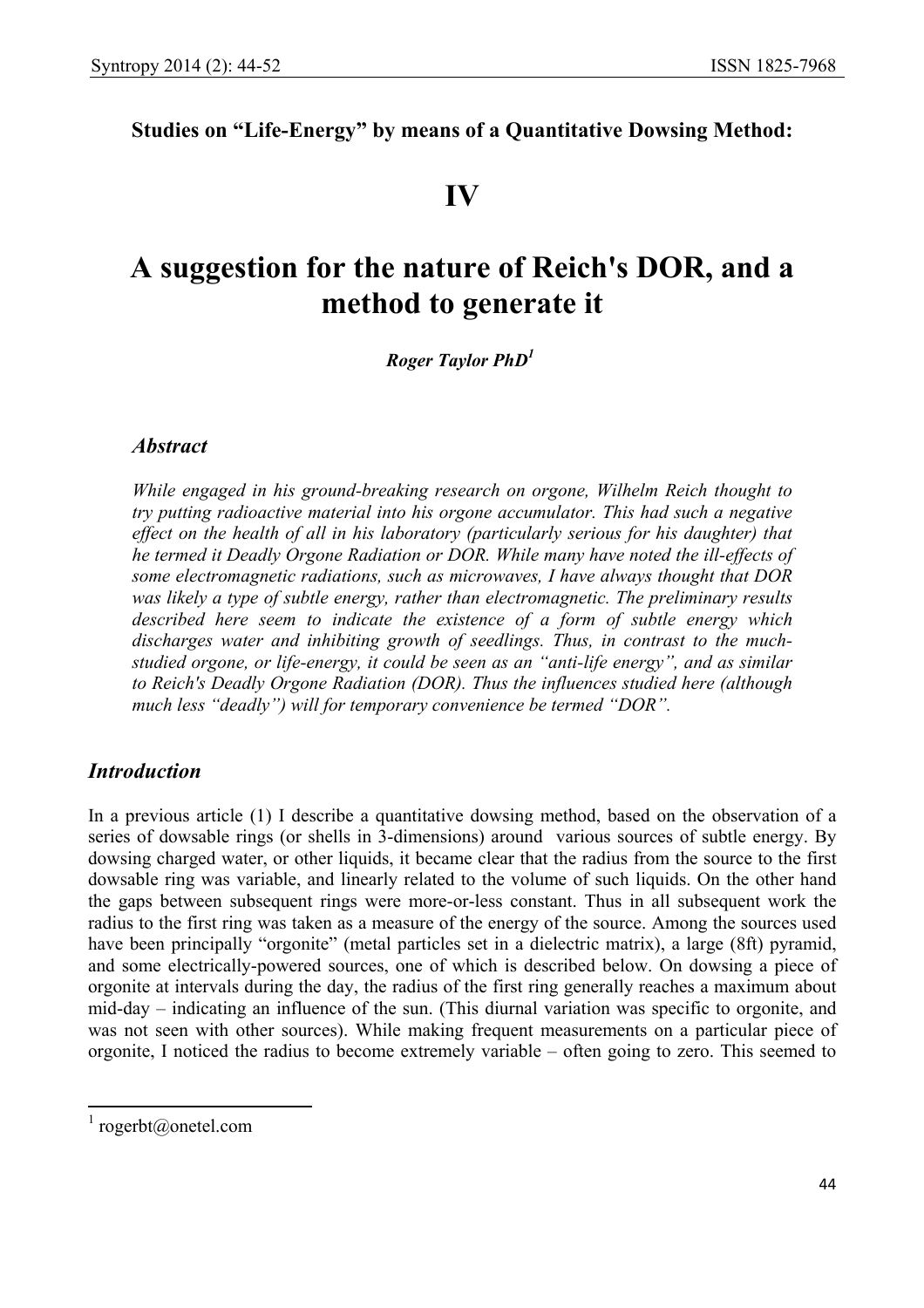## **Studies on "Life-Energy" by means of a Quantitative Dowsing Method:**

## **IV**

# **A suggestion for the nature of Reich's DOR, and a method to generate it**

 *Roger Taylor PhD1*

#### *Abstract*

*While engaged in his ground-breaking research on orgone, Wilhelm Reich thought to try putting radioactive material into his orgone accumulator. This had such a negative*  effect on the health of all in his laboratory (particularly serious for his daughter) that *he termed it Deadly Orgone Radiation or DOR. While many have noted the ill-effects of some electromagnetic radiations, such as microwaves, I have always thought that DOR was likely a type of subtle energy, rather than electromagnetic. The preliminary results described here seem to indicate the existence of a form of subtle energy which discharges water and inhibiting growth of seedlings. Thus, in contrast to the muchstudied orgone, or life-energy, it could be seen as an "anti-life energy", and as similar to Reich's Deadly Orgone Radiation (DOR). Thus the influences studied here (although much less "deadly") will for temporary convenience be termed "DOR".*

### *Introduction*

In a previous article (1) I describe a quantitative dowsing method, based on the observation of a series of dowsable rings (or shells in 3-dimensions) around various sources of subtle energy. By dowsing charged water, or other liquids, it became clear that the radius from the source to the first dowsable ring was variable, and linearly related to the volume of such liquids. On the other hand the gaps between subsequent rings were more-or-less constant. Thus in all subsequent work the radius to the first ring was taken as a measure of the energy of the source. Among the sources used have been principally "orgonite" (metal particles set in a dielectric matrix), a large (8ft) pyramid, and some electrically-powered sources, one of which is described below. On dowsing a piece of orgonite at intervals during the day, the radius of the first ring generally reaches a maximum about mid-day – indicating an influence of the sun. (This diurnal variation was specific to orgonite, and was not seen with other sources). While making frequent measurements on a particular piece of orgonite, I noticed the radius to become extremely variable – often going to zero. This seemed to

<sup>&</sup>lt;sup>1</sup> rogerbt@onetel.com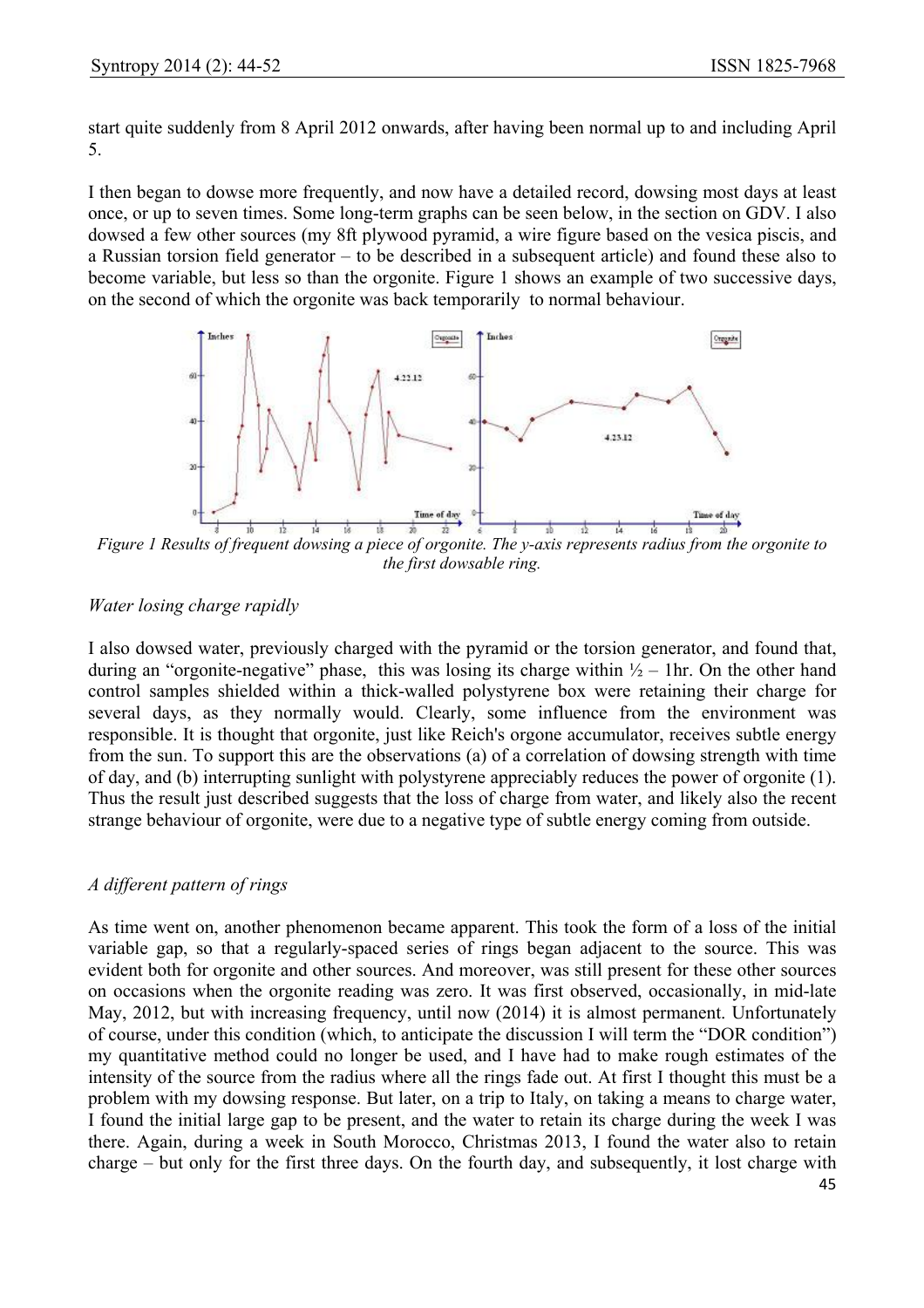start quite suddenly from 8 April 2012 onwards, after having been normal up to and including April 5.

I then began to dowse more frequently, and now have a detailed record, dowsing most days at least once, or up to seven times. Some long-term graphs can be seen below, in the section on GDV. I also dowsed a few other sources (my 8ft plywood pyramid, a wire figure based on the vesica piscis, and a Russian torsion field generator – to be described in a subsequent article) and found these also to become variable, but less so than the orgonite. Figure 1 shows an example of two successive days, on the second of which the orgonite was back temporarily to normal behaviour.



*Figure 1 Results of frequent dowsing a piece of orgonite. The y-axis represents radius from the orgonite to the first dowsable ring.* 

#### *Water losing charge rapidly*

I also dowsed water, previously charged with the pyramid or the torsion generator, and found that, during an "orgonite-negative" phase, this was losing its charge within  $\frac{1}{2}$  – 1hr. On the other hand control samples shielded within a thick-walled polystyrene box were retaining their charge for several days, as they normally would. Clearly, some influence from the environment was responsible. It is thought that orgonite, just like Reich's orgone accumulator, receives subtle energy from the sun. To support this are the observations (a) of a correlation of dowsing strength with time of day, and (b) interrupting sunlight with polystyrene appreciably reduces the power of orgonite (1). Thus the result just described suggests that the loss of charge from water, and likely also the recent strange behaviour of orgonite, were due to a negative type of subtle energy coming from outside.

#### *A different pattern of rings*

As time went on, another phenomenon became apparent. This took the form of a loss of the initial variable gap, so that a regularly-spaced series of rings began adjacent to the source. This was evident both for orgonite and other sources. And moreover, was still present for these other sources on occasions when the orgonite reading was zero. It was first observed, occasionally, in mid-late May, 2012, but with increasing frequency, until now (2014) it is almost permanent. Unfortunately of course, under this condition (which, to anticipate the discussion I will term the "DOR condition") my quantitative method could no longer be used, and I have had to make rough estimates of the intensity of the source from the radius where all the rings fade out. At first I thought this must be a problem with my dowsing response. But later, on a trip to Italy, on taking a means to charge water, I found the initial large gap to be present, and the water to retain its charge during the week I was there. Again, during a week in South Morocco, Christmas 2013, I found the water also to retain charge – but only for the first three days. On the fourth day, and subsequently, it lost charge with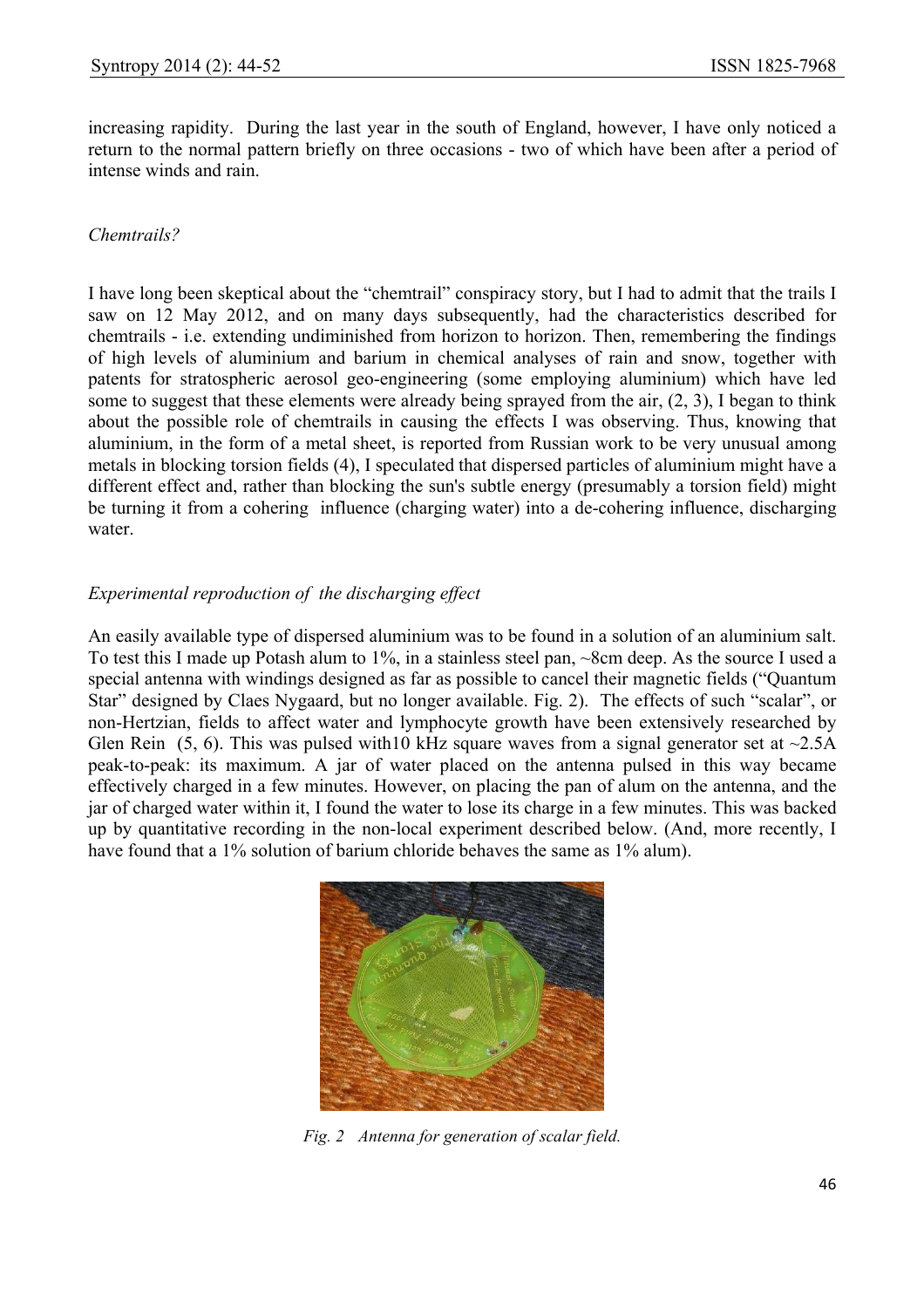increasing rapidity. During the last year in the south of England, however, I have only noticed a return to the normal pattern briefly on three occasions - two of which have been after a period of intense winds and rain.

#### *Chemtrails?*

I have long been skeptical about the "chemtrail" conspiracy story, but I had to admit that the trails I saw on 12 May 2012, and on many days subsequently, had the characteristics described for chemtrails - i.e. extending undiminished from horizon to horizon. Then, remembering the findings of high levels of aluminium and barium in chemical analyses of rain and snow, together with patents for stratospheric aerosol geo-engineering (some employing aluminium) which have led some to suggest that these elements were already being sprayed from the air, (2, 3), I began to think about the possible role of chemtrails in causing the effects I was observing. Thus, knowing that aluminium, in the form of a metal sheet, is reported from Russian work to be very unusual among metals in blocking torsion fields (4), I speculated that dispersed particles of aluminium might have a different effect and, rather than blocking the sun's subtle energy (presumably a torsion field) might be turning it from a cohering influence (charging water) into a de-cohering influence, discharging water.

#### *Experimental reproduction of the discharging effect*

An easily available type of dispersed aluminium was to be found in a solution of an aluminium salt. To test this I made up Potash alum to 1%, in a stainless steel pan, ~8cm deep. As the source I used a special antenna with windings designed as far as possible to cancel their magnetic fields ("Quantum Star" designed by Claes Nygaard, but no longer available. Fig. 2). The effects of such "scalar", or non-Hertzian, fields to affect water and lymphocyte growth have been extensively researched by Glen Rein (5, 6). This was pulsed with 10 kHz square waves from a signal generator set at  $\sim$ 2.5A peak-to-peak: its maximum. A jar of water placed on the antenna pulsed in this way became effectively charged in a few minutes. However, on placing the pan of alum on the antenna, and the jar of charged water within it, I found the water to lose its charge in a few minutes. This was backed up by quantitative recording in the non-local experiment described below. (And, more recently, I have found that a 1% solution of barium chloride behaves the same as 1% alum).



*Fig. 2 Antenna for generation of scalar field.*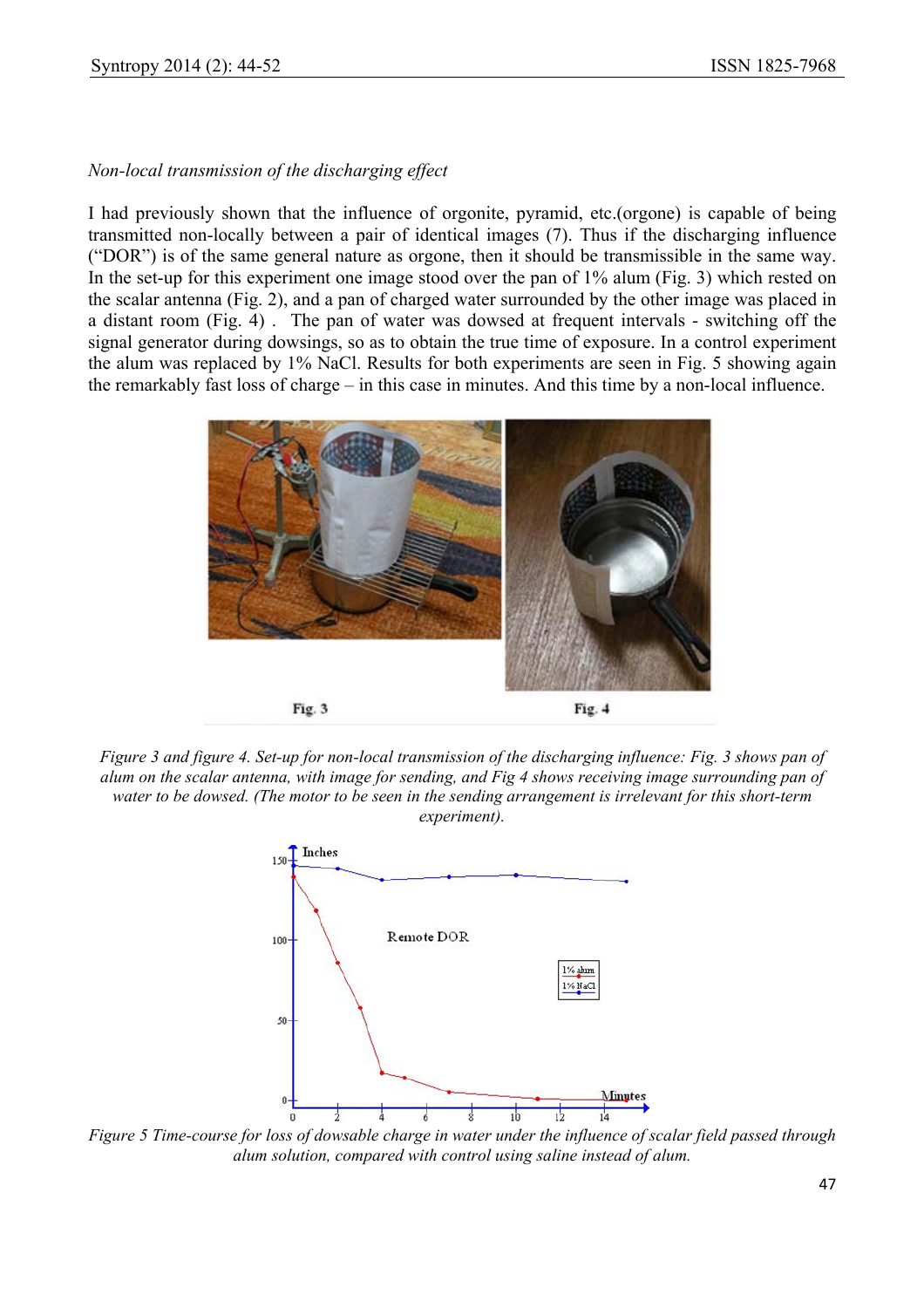#### *Non-local transmission of the discharging effect*

I had previously shown that the influence of orgonite, pyramid, etc.(orgone) is capable of being transmitted non-locally between a pair of identical images (7). Thus if the discharging influence ("DOR") is of the same general nature as orgone, then it should be transmissible in the same way. In the set-up for this experiment one image stood over the pan of 1% alum (Fig. 3) which rested on the scalar antenna (Fig. 2), and a pan of charged water surrounded by the other image was placed in a distant room (Fig. 4) . The pan of water was dowsed at frequent intervals - switching off the signal generator during dowsings, so as to obtain the true time of exposure. In a control experiment the alum was replaced by 1% NaCl. Results for both experiments are seen in Fig. 5 showing again the remarkably fast loss of charge – in this case in minutes. And this time by a non-local influence.



*Figure 3 and figure 4. Set-up for non-local transmission of the discharging influence: Fig. 3 shows pan of alum on the scalar antenna, with image for sending, and Fig 4 shows receiving image surrounding pan of water to be dowsed. (The motor to be seen in the sending arrangement is irrelevant for this short-term experiment).* 



*Figure 5 Time-course for loss of dowsable charge in water under the influence of scalar field passed through alum solution, compared with control using saline instead of alum.*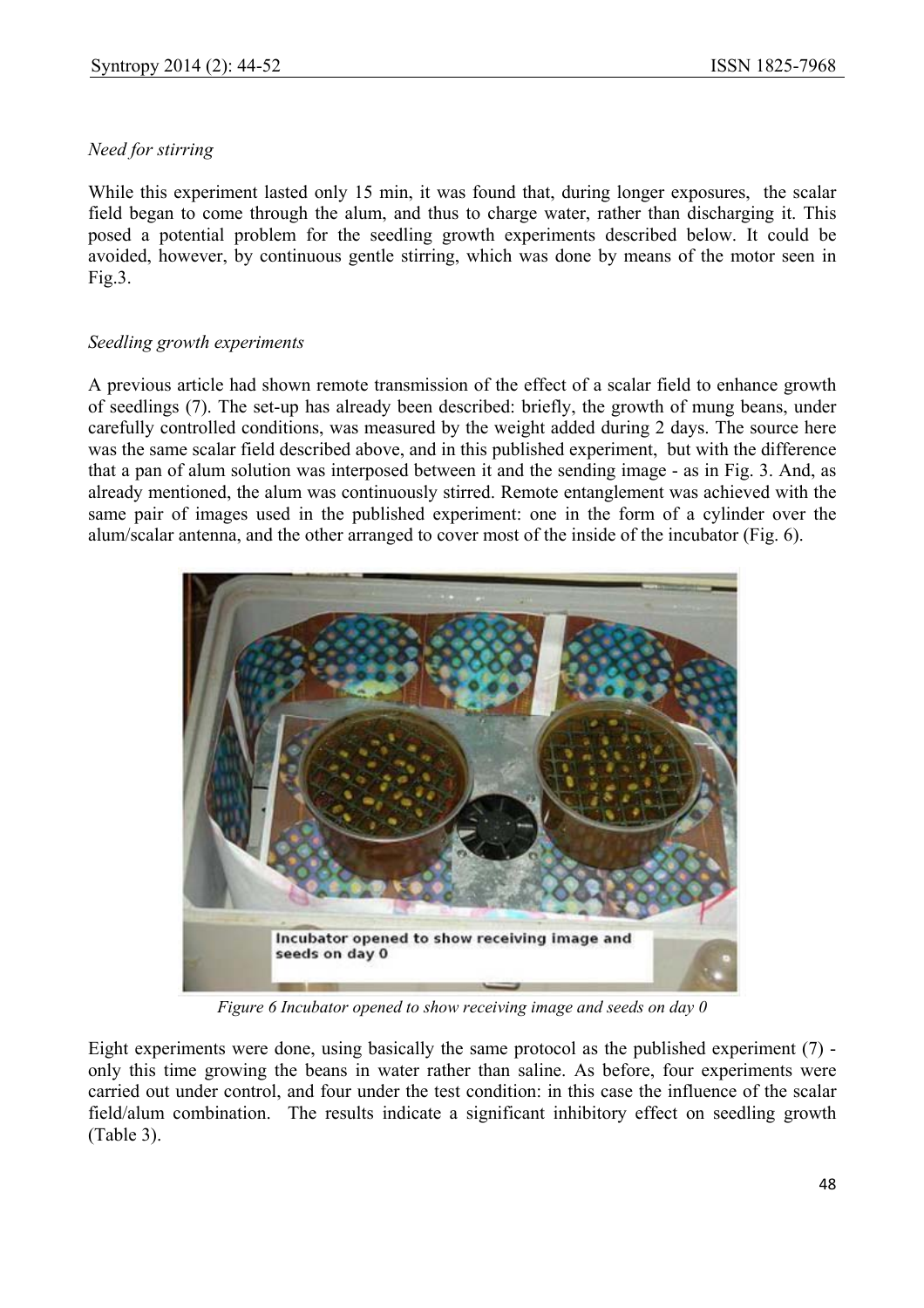#### *Need for stirring*

While this experiment lasted only 15 min, it was found that, during longer exposures, the scalar field began to come through the alum, and thus to charge water, rather than discharging it. This posed a potential problem for the seedling growth experiments described below. It could be avoided, however, by continuous gentle stirring, which was done by means of the motor seen in Fig.3.

#### *Seedling growth experiments*

A previous article had shown remote transmission of the effect of a scalar field to enhance growth of seedlings (7). The set-up has already been described: briefly, the growth of mung beans, under carefully controlled conditions, was measured by the weight added during 2 days. The source here was the same scalar field described above, and in this published experiment, but with the difference that a pan of alum solution was interposed between it and the sending image - as in Fig. 3. And, as already mentioned, the alum was continuously stirred. Remote entanglement was achieved with the same pair of images used in the published experiment: one in the form of a cylinder over the alum/scalar antenna, and the other arranged to cover most of the inside of the incubator (Fig. 6).



*Figure 6 Incubator opened to show receiving image and seeds on day 0* 

Eight experiments were done, using basically the same protocol as the published experiment (7) only this time growing the beans in water rather than saline. As before, four experiments were carried out under control, and four under the test condition: in this case the influence of the scalar field/alum combination. The results indicate a significant inhibitory effect on seedling growth (Table 3).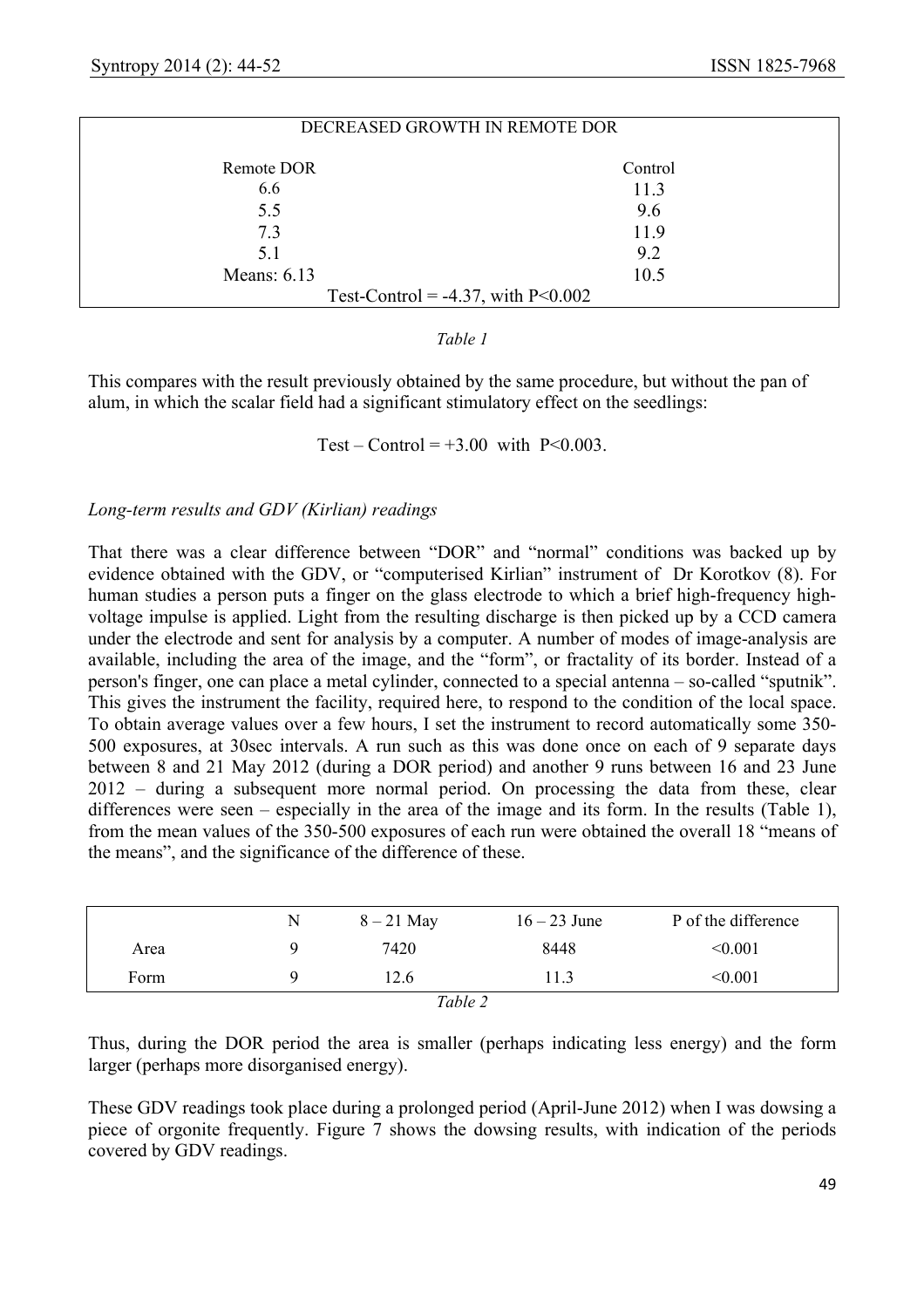| DECREASED GROWTH IN REMOTE DOR        |         |  |  |  |
|---------------------------------------|---------|--|--|--|
| Remote DOR                            | Control |  |  |  |
| 6.6                                   | 11.3    |  |  |  |
| 5.5                                   | 9.6     |  |  |  |
| 7.3                                   | 11.9    |  |  |  |
| 5.1                                   | 9.2     |  |  |  |
| Means: $6.13$                         | 10.5    |  |  |  |
| Test-Control = $-4.37$ , with P<0.002 |         |  |  |  |

#### *Table 1*

This compares with the result previously obtained by the same procedure, but without the pan of alum, in which the scalar field had a significant stimulatory effect on the seedlings:

Test – Control =  $+3.00$  with P<0.003.

#### *Long-term results and GDV (Kirlian) readings*

That there was a clear difference between "DOR" and "normal" conditions was backed up by evidence obtained with the GDV, or "computerised Kirlian" instrument of Dr Korotkov (8). For human studies a person puts a finger on the glass electrode to which a brief high-frequency highvoltage impulse is applied. Light from the resulting discharge is then picked up by a CCD camera under the electrode and sent for analysis by a computer. A number of modes of image-analysis are available, including the area of the image, and the "form", or fractality of its border. Instead of a person's finger, one can place a metal cylinder, connected to a special antenna – so-called "sputnik". This gives the instrument the facility, required here, to respond to the condition of the local space. To obtain average values over a few hours, I set the instrument to record automatically some 350- 500 exposures, at 30sec intervals. A run such as this was done once on each of 9 separate days between 8 and 21 May 2012 (during a DOR period) and another 9 runs between 16 and 23 June 2012 – during a subsequent more normal period. On processing the data from these, clear differences were seen – especially in the area of the image and its form. In the results (Table 1), from the mean values of the 350-500 exposures of each run were obtained the overall 18 "means of the means", and the significance of the difference of these.

|         | N | $8 - 21$ May | $16 - 23$ June | P of the difference |  |
|---------|---|--------------|----------------|---------------------|--|
| Area    |   | 7420         | 8448           | < 0.001             |  |
| Form    |   | 12.6         | 11.3           | < 0.001             |  |
| Table 2 |   |              |                |                     |  |

Thus, during the DOR period the area is smaller (perhaps indicating less energy) and the form larger (perhaps more disorganised energy).

These GDV readings took place during a prolonged period (April-June 2012) when I was dowsing a piece of orgonite frequently. Figure 7 shows the dowsing results, with indication of the periods covered by GDV readings.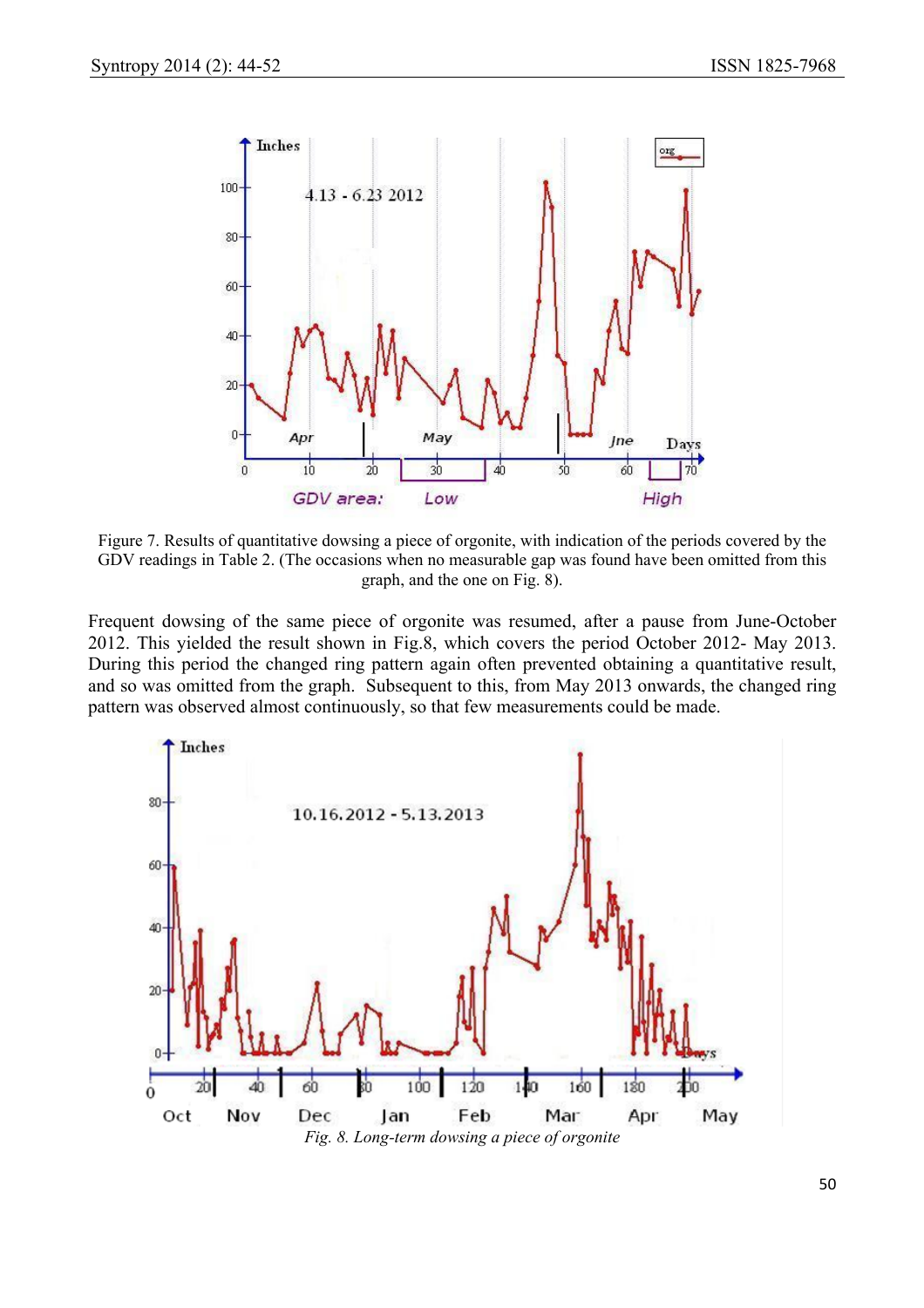

Figure 7. Results of quantitative dowsing a piece of orgonite, with indication of the periods covered by the GDV readings in Table 2. (The occasions when no measurable gap was found have been omitted from this graph, and the one on Fig. 8).

Frequent dowsing of the same piece of orgonite was resumed, after a pause from June-October 2012. This yielded the result shown in Fig.8, which covers the period October 2012- May 2013. During this period the changed ring pattern again often prevented obtaining a quantitative result, and so was omitted from the graph. Subsequent to this, from May 2013 onwards, the changed ring pattern was observed almost continuously, so that few measurements could be made.

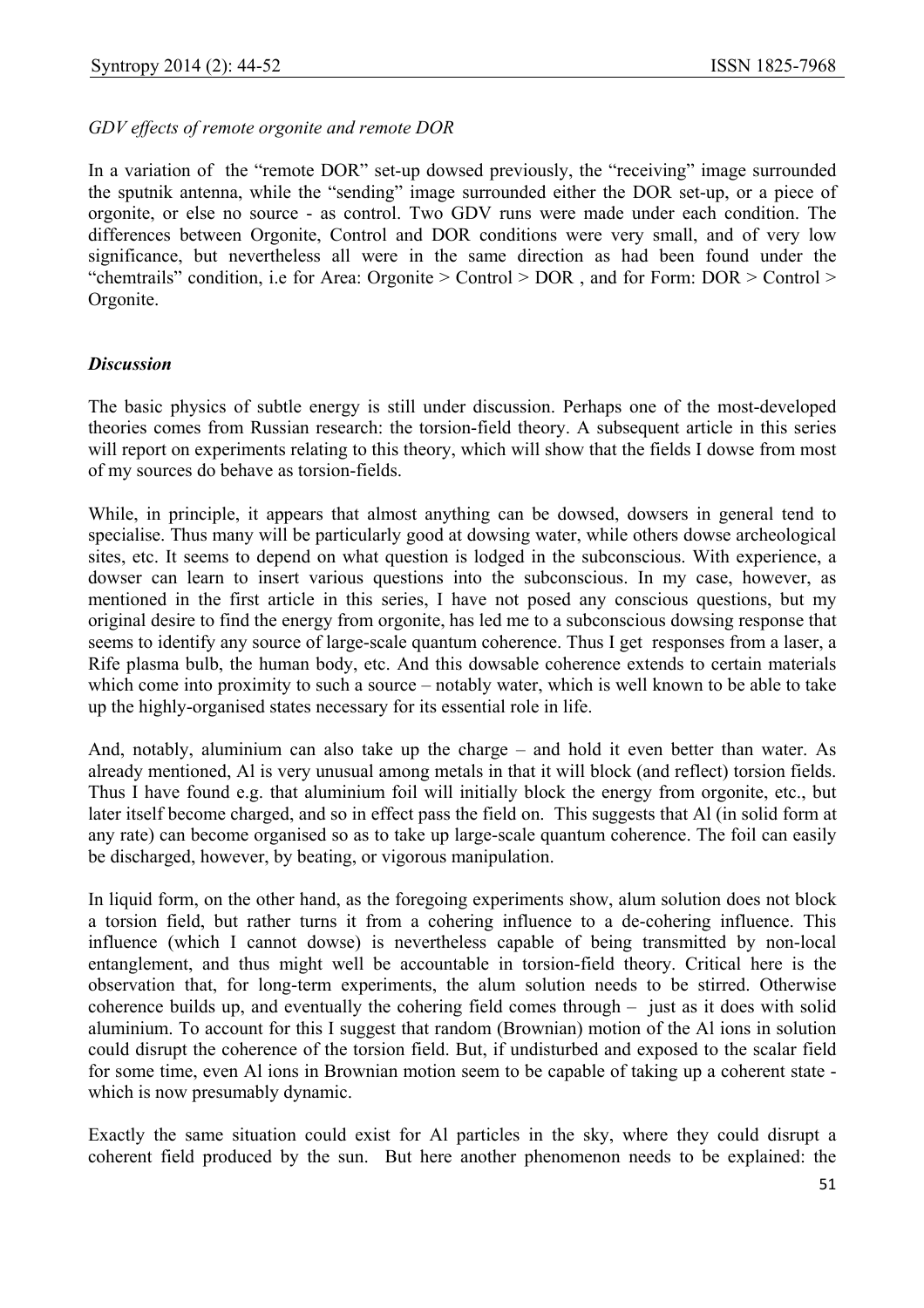#### *GDV effects of remote orgonite and remote DOR*

In a variation of the "remote DOR" set-up dowsed previously, the "receiving" image surrounded the sputnik antenna, while the "sending" image surrounded either the DOR set-up, or a piece of orgonite, or else no source - as control. Two GDV runs were made under each condition. The differences between Orgonite, Control and DOR conditions were very small, and of very low significance, but nevertheless all were in the same direction as had been found under the "chemtrails" condition, i.e for Area: Orgonite > Control > DOR , and for Form: DOR > Control > Orgonite.

#### *Discussion*

The basic physics of subtle energy is still under discussion. Perhaps one of the most-developed theories comes from Russian research: the torsion-field theory. A subsequent article in this series will report on experiments relating to this theory, which will show that the fields I dowse from most of my sources do behave as torsion-fields.

While, in principle, it appears that almost anything can be dowsed, dowsers in general tend to specialise. Thus many will be particularly good at dowsing water, while others dowse archeological sites, etc. It seems to depend on what question is lodged in the subconscious. With experience, a dowser can learn to insert various questions into the subconscious. In my case, however, as mentioned in the first article in this series, I have not posed any conscious questions, but my original desire to find the energy from orgonite, has led me to a subconscious dowsing response that seems to identify any source of large-scale quantum coherence. Thus I get responses from a laser, a Rife plasma bulb, the human body, etc. And this dowsable coherence extends to certain materials which come into proximity to such a source – notably water, which is well known to be able to take up the highly-organised states necessary for its essential role in life.

And, notably, aluminium can also take up the charge – and hold it even better than water. As already mentioned, Al is very unusual among metals in that it will block (and reflect) torsion fields. Thus I have found e.g. that aluminium foil will initially block the energy from orgonite, etc., but later itself become charged, and so in effect pass the field on. This suggests that Al (in solid form at any rate) can become organised so as to take up large-scale quantum coherence. The foil can easily be discharged, however, by beating, or vigorous manipulation.

In liquid form, on the other hand, as the foregoing experiments show, alum solution does not block a torsion field, but rather turns it from a cohering influence to a de-cohering influence. This influence (which I cannot dowse) is nevertheless capable of being transmitted by non-local entanglement, and thus might well be accountable in torsion-field theory. Critical here is the observation that, for long-term experiments, the alum solution needs to be stirred. Otherwise coherence builds up, and eventually the cohering field comes through – just as it does with solid aluminium. To account for this I suggest that random (Brownian) motion of the Al ions in solution could disrupt the coherence of the torsion field. But, if undisturbed and exposed to the scalar field for some time, even Al ions in Brownian motion seem to be capable of taking up a coherent state which is now presumably dynamic.

Exactly the same situation could exist for Al particles in the sky, where they could disrupt a coherent field produced by the sun. But here another phenomenon needs to be explained: the